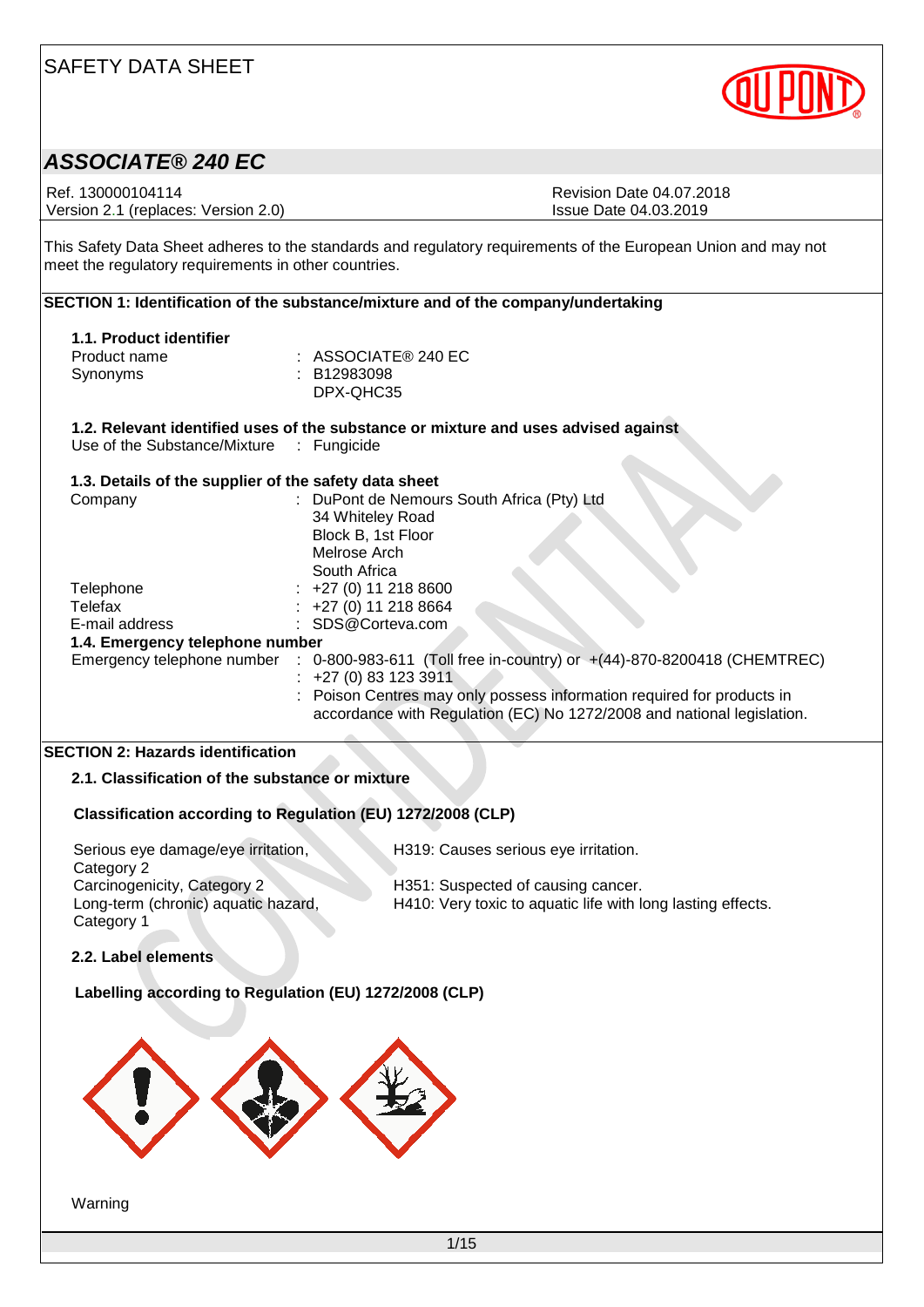

### *ASSOCIATE® 240 EC*

Ref. 130000104114<br>
Version 2.1 (replaces: Version 2.0)<br>
Version 2.1 (replaces: Version 2.0)<br>
Revision Date 04.03.2019 Version 2.1 (replaces: Version 2.0)

This Safety Data Sheet adheres to the standards and regulatory requirements of the European Union and may not meet the regulatory requirements in other countries.

| SECTION 1: Identification of the substance/mixture and of the company/undertaking |                                                                                                   |  |  |
|-----------------------------------------------------------------------------------|---------------------------------------------------------------------------------------------------|--|--|
|                                                                                   |                                                                                                   |  |  |
| 1.1. Product identifier                                                           |                                                                                                   |  |  |
| Product name                                                                      | $:$ ASSOCIATE® 240 EC                                                                             |  |  |
| Synonyms                                                                          | : B12983098                                                                                       |  |  |
|                                                                                   | DPX-QHC35                                                                                         |  |  |
|                                                                                   | 1.2. Relevant identified uses of the substance or mixture and uses advised against                |  |  |
| Use of the Substance/Mixture : Fungicide                                          |                                                                                                   |  |  |
| 1.3. Details of the supplier of the safety data sheet                             |                                                                                                   |  |  |
| Company                                                                           | : DuPont de Nemours South Africa (Pty) Ltd                                                        |  |  |
|                                                                                   | 34 Whiteley Road                                                                                  |  |  |
|                                                                                   | Block B, 1st Floor                                                                                |  |  |
|                                                                                   | Melrose Arch                                                                                      |  |  |
|                                                                                   | South Africa                                                                                      |  |  |
| Telephone                                                                         | +27 (0) 11 218 8600                                                                               |  |  |
| Telefax                                                                           | +27 (0) 11 218 8664                                                                               |  |  |
| E-mail address                                                                    | SDS@Corteva.com                                                                                   |  |  |
| 1.4. Emergency telephone number                                                   |                                                                                                   |  |  |
|                                                                                   | Emergency telephone number : 0-800-983-611 (Toll free in-country) or +(44)-870-8200418 (CHEMTREC) |  |  |
|                                                                                   | $: +27(0)831233911$                                                                               |  |  |
|                                                                                   | Poison Centres may only possess information required for products in                              |  |  |
|                                                                                   | accordance with Regulation (EC) No 1272/2008 and national legislation.                            |  |  |
|                                                                                   |                                                                                                   |  |  |
| <b>SECTION 2: Hazards identification</b>                                          |                                                                                                   |  |  |
| 2.1. Classification of the substance or mixture                                   |                                                                                                   |  |  |
|                                                                                   | Classification according to Regulation (EU) 1272/2008 (CLP)                                       |  |  |
| Serious eye damage/eye irritation,                                                | H319: Causes serious eye irritation.                                                              |  |  |

Category 2<br>Carcinogenicity, Category 2 Long-term (chronic) aquatic hazard, Category 1

H351: Suspected of causing cancer. H410: Very toxic to aquatic life with long lasting effects.

**2.2. Label elements**

**Labelling according to Regulation (EU) 1272/2008 (CLP)**



Warning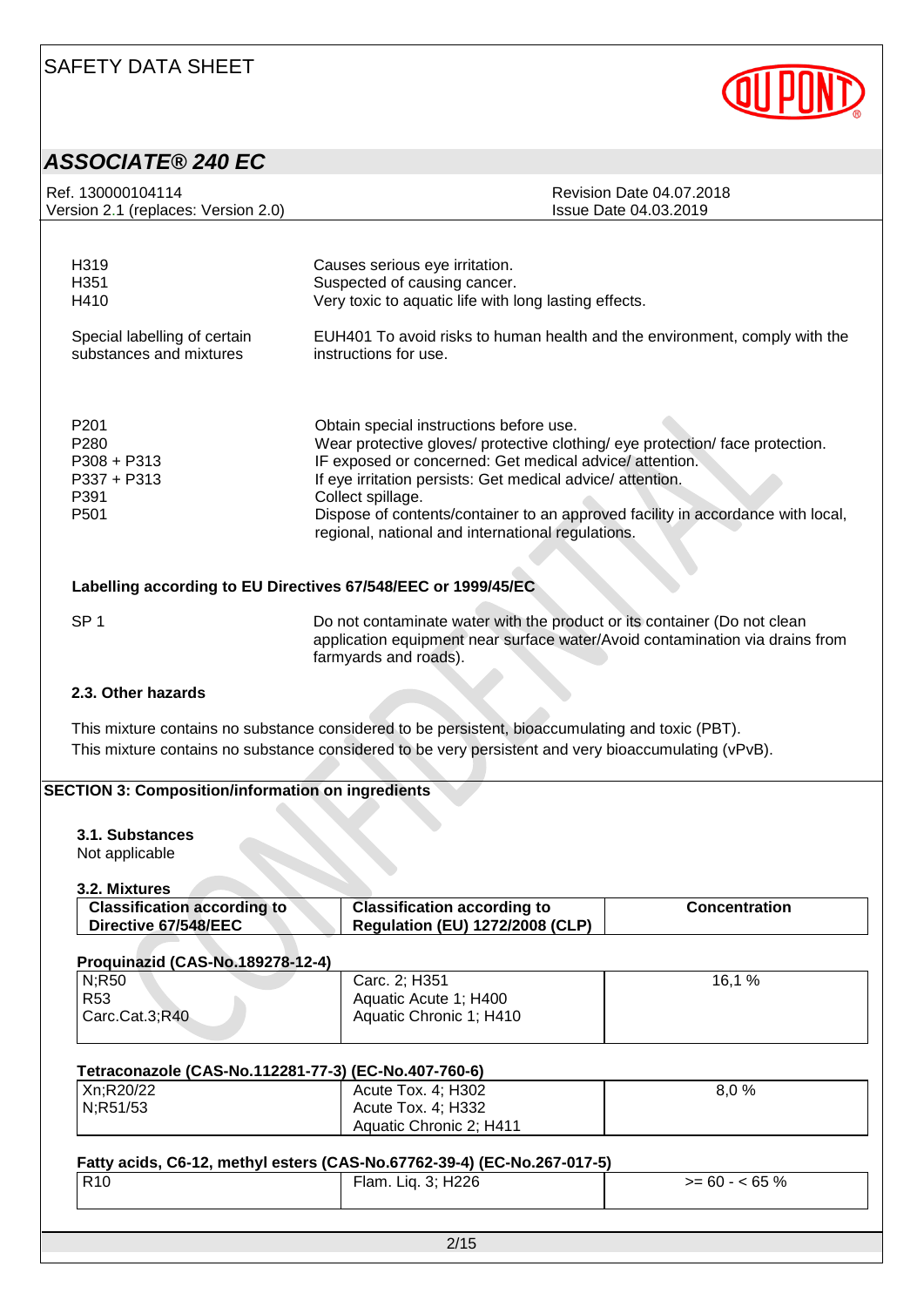

# *ASSOCIATE® 240 EC*

| Ref. 130000104114<br><b>Revision Date 04.07.2018</b><br>Version 2.1 (replaces: Version 2.0)<br>Issue Date 04.03.2019<br>H319<br>Causes serious eye irritation.<br>Suspected of causing cancer.<br>H351                                                                                                                                                                                                                                                                                                 |  |  |  |  |
|--------------------------------------------------------------------------------------------------------------------------------------------------------------------------------------------------------------------------------------------------------------------------------------------------------------------------------------------------------------------------------------------------------------------------------------------------------------------------------------------------------|--|--|--|--|
|                                                                                                                                                                                                                                                                                                                                                                                                                                                                                                        |  |  |  |  |
|                                                                                                                                                                                                                                                                                                                                                                                                                                                                                                        |  |  |  |  |
| Very toxic to aquatic life with long lasting effects.<br>H410                                                                                                                                                                                                                                                                                                                                                                                                                                          |  |  |  |  |
| EUH401 To avoid risks to human health and the environment, comply with the<br>Special labelling of certain<br>substances and mixtures<br>instructions for use.                                                                                                                                                                                                                                                                                                                                         |  |  |  |  |
| P <sub>201</sub><br>Obtain special instructions before use.<br>Wear protective gloves/ protective clothing/ eye protection/ face protection.<br>P280<br>$P308 + P313$<br>IF exposed or concerned: Get medical advice/attention.<br>If eye irritation persists: Get medical advice/attention.<br>$P337 + P313$<br>P391<br>Collect spillage.<br>Dispose of contents/container to an approved facility in accordance with local,<br>P <sub>501</sub><br>regional, national and international regulations. |  |  |  |  |
| Labelling according to EU Directives 67/548/EEC or 1999/45/EC                                                                                                                                                                                                                                                                                                                                                                                                                                          |  |  |  |  |
| SP <sub>1</sub><br>Do not contaminate water with the product or its container (Do not clean<br>application equipment near surface water/Avoid contamination via drains from<br>farmyards and roads).                                                                                                                                                                                                                                                                                                   |  |  |  |  |
| 2.3. Other hazards                                                                                                                                                                                                                                                                                                                                                                                                                                                                                     |  |  |  |  |
| This mixture contains no substance considered to be persistent, bioaccumulating and toxic (PBT).<br>This mixture contains no substance considered to be very persistent and very bioaccumulating (vPvB).                                                                                                                                                                                                                                                                                               |  |  |  |  |

### **SECTION 3: Composition/information on ingredients**

#### **3.1. Substances**

Not applicable

**3.2. Mixtures**

| ----------------                   |                                        |                      |
|------------------------------------|----------------------------------------|----------------------|
| <b>Classification according to</b> | <b>Classification according to</b>     | <b>Concentration</b> |
| Directive 67/548/EEC               | <b>Regulation (EU) 1272/2008 (CLP)</b> |                      |
|                                    |                                        |                      |

#### **Proquinazid (CAS-No.189278-12-4)**

| N;R50          | Carc. 2; H351           | 16,1 % |
|----------------|-------------------------|--------|
| l R53          | Aquatic Acute 1; H400   |        |
| Carc.Cat.3;R40 | Aquatic Chronic 1; H410 |        |
|                |                         |        |

| Tetraconazole (CAS-No.112281-77-3) (EC-No.407-760-6) |                         |      |  |  |  |  |
|------------------------------------------------------|-------------------------|------|--|--|--|--|
| Xn:R20/22                                            | Acute Tox. 4; H302      | 8.0% |  |  |  |  |
| N:R51/53                                             | Acute Tox. 4; H332      |      |  |  |  |  |
|                                                      | Aquatic Chronic 2; H411 |      |  |  |  |  |

#### **Fatty acids, C6-12, methyl esters (CAS-No.67762-39-4) (EC-No.267-017-5)**

| R10 | Flam. Liq. 3; H226 | $>= 60 - 65 \%$ |
|-----|--------------------|-----------------|
|     |                    |                 |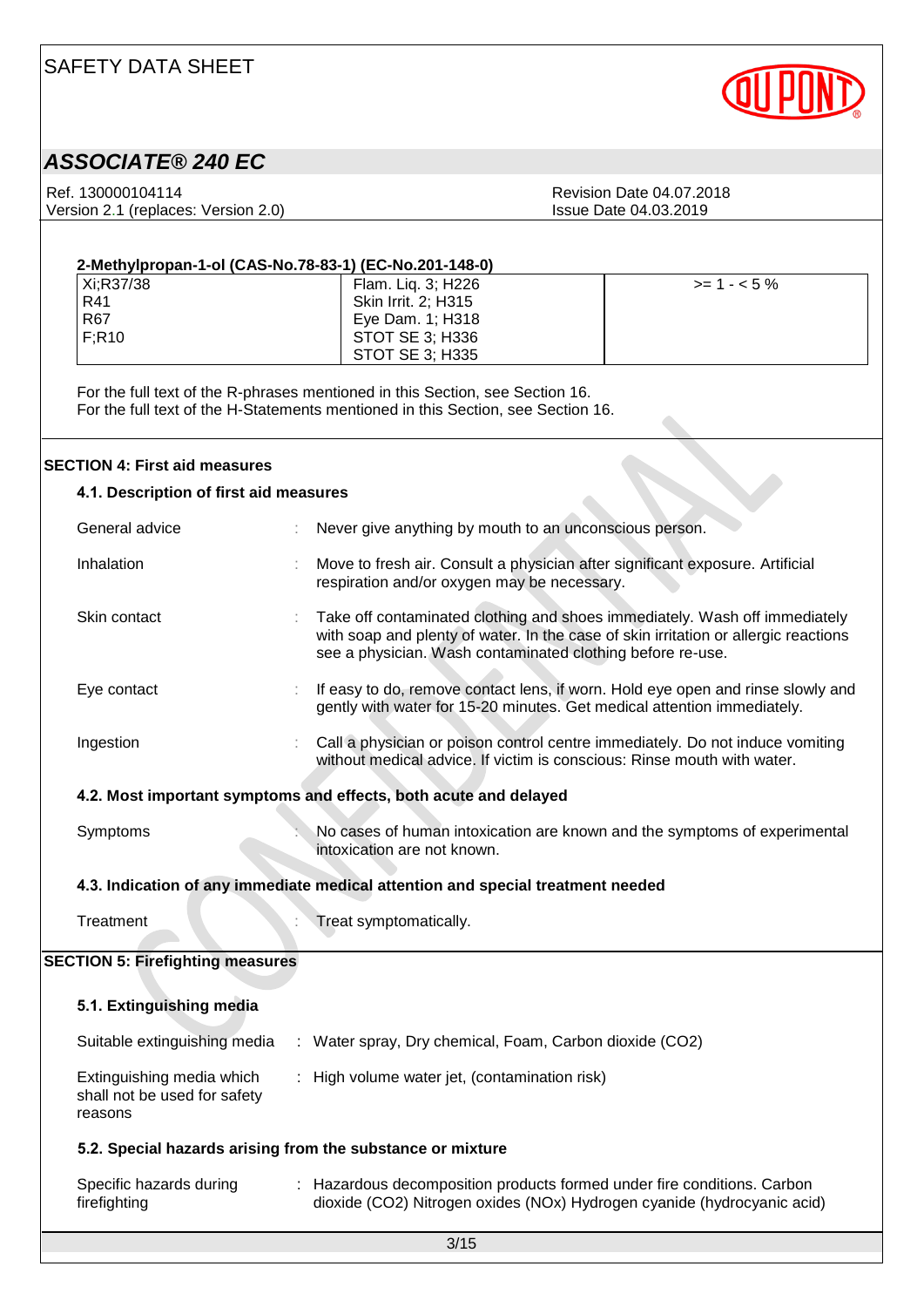

## *ASSOCIATE® 240 EC*

Ref. 130000104114<br>
Version 2.1 (replaces: Version 2.0)<br>
Version 2.1 (replaces: Version 2.0)<br>
Revision Date 04.03.2019 Version 2.1 (replaces: Version 2.0)

| 2-Methylpropan-1-ol (CAS-No.78-83-1) (EC-No.201-148-0) |                            |              |  |  |  |  |
|--------------------------------------------------------|----------------------------|--------------|--|--|--|--|
| Xi:R37/38                                              | Flam. Liq. 3; H226         | $>= 1 - 5\%$ |  |  |  |  |
| R41                                                    | <b>Skin Irrit. 2: H315</b> |              |  |  |  |  |
| <b>R67</b>                                             | Eye Dam. 1; H318           |              |  |  |  |  |
| F:R10                                                  | STOT SE 3: H336            |              |  |  |  |  |
|                                                        | STOT SE 3: H335            |              |  |  |  |  |

For the full text of the R-phrases mentioned in this Section, see Section 16. For the full text of the H-Statements mentioned in this Section, see Section 16.

#### **SECTION 4: First aid measures**

|                                                                  | <b>SECTION 4: First aid measures</b>                                 |  |                                                                                                                                                                                                                                 |
|------------------------------------------------------------------|----------------------------------------------------------------------|--|---------------------------------------------------------------------------------------------------------------------------------------------------------------------------------------------------------------------------------|
|                                                                  | 4.1. Description of first aid measures                               |  |                                                                                                                                                                                                                                 |
|                                                                  | General advice                                                       |  | Never give anything by mouth to an unconscious person.                                                                                                                                                                          |
|                                                                  | Inhalation                                                           |  | Move to fresh air. Consult a physician after significant exposure. Artificial<br>respiration and/or oxygen may be necessary.                                                                                                    |
|                                                                  | Skin contact                                                         |  | Take off contaminated clothing and shoes immediately. Wash off immediately<br>with soap and plenty of water. In the case of skin irritation or allergic reactions<br>see a physician. Wash contaminated clothing before re-use. |
|                                                                  | Eye contact                                                          |  | If easy to do, remove contact lens, if worn. Hold eye open and rinse slowly and<br>gently with water for 15-20 minutes. Get medical attention immediately.                                                                      |
|                                                                  | Ingestion                                                            |  | Call a physician or poison control centre immediately. Do not induce vomiting<br>without medical advice. If victim is conscious: Rinse mouth with water.                                                                        |
| 4.2. Most important symptoms and effects, both acute and delayed |                                                                      |  |                                                                                                                                                                                                                                 |
|                                                                  | Symptoms                                                             |  | No cases of human intoxication are known and the symptoms of experimental<br>intoxication are not known.                                                                                                                        |
|                                                                  |                                                                      |  | 4.3. Indication of any immediate medical attention and special treatment needed                                                                                                                                                 |
|                                                                  | Treatment                                                            |  | Treat symptomatically.                                                                                                                                                                                                          |
|                                                                  | <b>SECTION 5: Firefighting measures</b>                              |  |                                                                                                                                                                                                                                 |
|                                                                  | 5.1. Extinguishing media                                             |  |                                                                                                                                                                                                                                 |
|                                                                  |                                                                      |  | Suitable extinguishing media : Water spray, Dry chemical, Foam, Carbon dioxide (CO2)                                                                                                                                            |
|                                                                  | Extinguishing media which<br>shall not be used for safety<br>reasons |  | : High volume water jet, (contamination risk)                                                                                                                                                                                   |
| 5.2. Special hazards arising from the substance or mixture       |                                                                      |  |                                                                                                                                                                                                                                 |
|                                                                  | Specific hazards during<br>firefighting                              |  | : Hazardous decomposition products formed under fire conditions. Carbon<br>dioxide (CO2) Nitrogen oxides (NOx) Hydrogen cyanide (hydrocyanic acid)                                                                              |
|                                                                  |                                                                      |  | 3/15                                                                                                                                                                                                                            |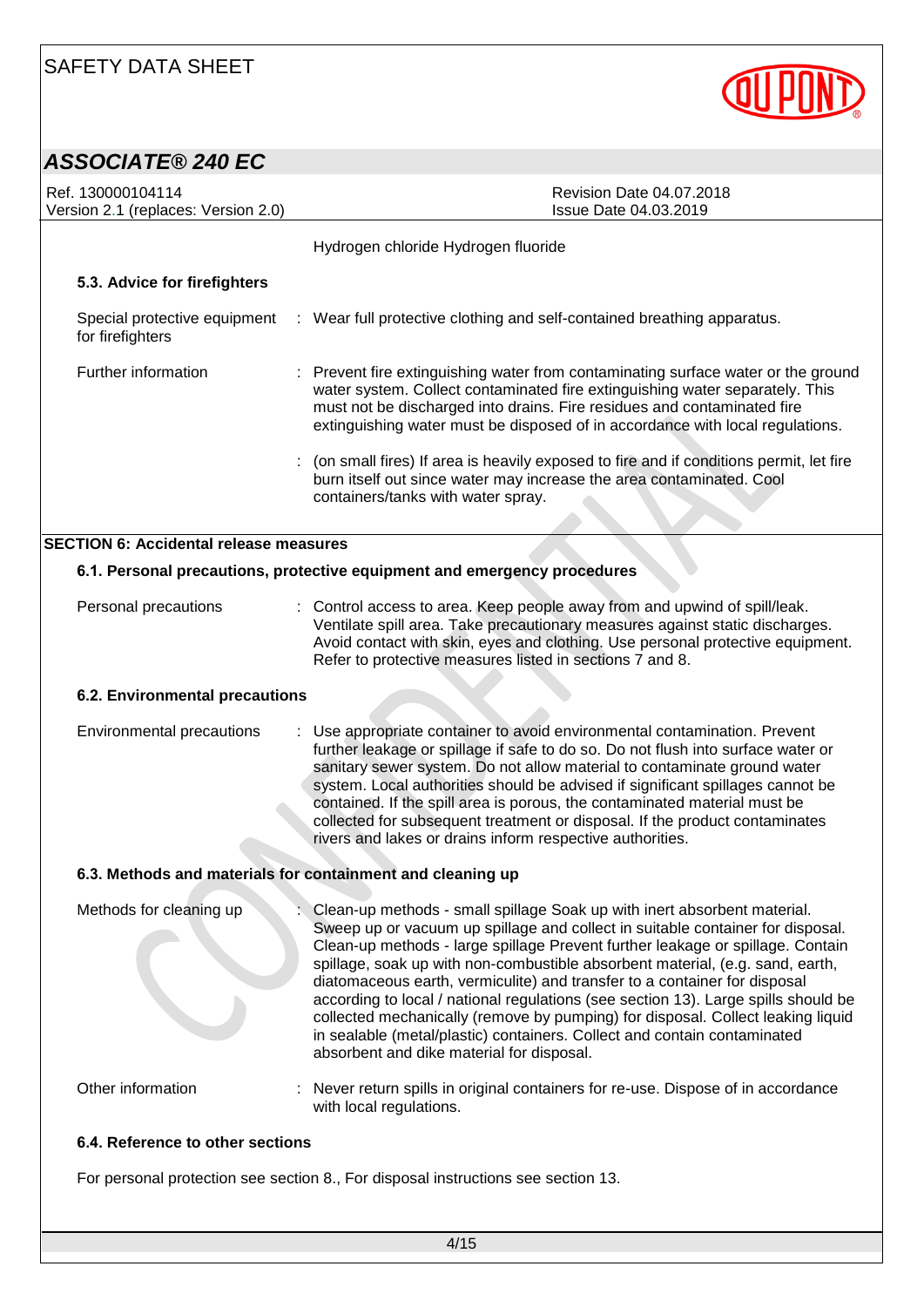

## *ASSOCIATE® 240 EC*

| Ref. 130000104114<br>Version 2.1 (replaces: Version 2.0)   | Revision Date 04.07.2018<br>Issue Date 04.03.2019                                                                                                                                                                                                                                                                                                                                                                                                                                                                                                                                                                                                                                                            |  |
|------------------------------------------------------------|--------------------------------------------------------------------------------------------------------------------------------------------------------------------------------------------------------------------------------------------------------------------------------------------------------------------------------------------------------------------------------------------------------------------------------------------------------------------------------------------------------------------------------------------------------------------------------------------------------------------------------------------------------------------------------------------------------------|--|
|                                                            | Hydrogen chloride Hydrogen fluoride                                                                                                                                                                                                                                                                                                                                                                                                                                                                                                                                                                                                                                                                          |  |
| 5.3. Advice for firefighters                               |                                                                                                                                                                                                                                                                                                                                                                                                                                                                                                                                                                                                                                                                                                              |  |
| Special protective equipment<br>for firefighters           | : Wear full protective clothing and self-contained breathing apparatus.                                                                                                                                                                                                                                                                                                                                                                                                                                                                                                                                                                                                                                      |  |
| Further information                                        | : Prevent fire extinguishing water from contaminating surface water or the ground<br>water system. Collect contaminated fire extinguishing water separately. This<br>must not be discharged into drains. Fire residues and contaminated fire<br>extinguishing water must be disposed of in accordance with local regulations.                                                                                                                                                                                                                                                                                                                                                                                |  |
|                                                            | (on small fires) If area is heavily exposed to fire and if conditions permit, let fire<br>burn itself out since water may increase the area contaminated. Cool<br>containers/tanks with water spray.                                                                                                                                                                                                                                                                                                                                                                                                                                                                                                         |  |
| <b>SECTION 6: Accidental release measures</b>              |                                                                                                                                                                                                                                                                                                                                                                                                                                                                                                                                                                                                                                                                                                              |  |
|                                                            | 6.1. Personal precautions, protective equipment and emergency procedures                                                                                                                                                                                                                                                                                                                                                                                                                                                                                                                                                                                                                                     |  |
| Personal precautions                                       | : Control access to area. Keep people away from and upwind of spill/leak.<br>Ventilate spill area. Take precautionary measures against static discharges.<br>Avoid contact with skin, eyes and clothing. Use personal protective equipment.<br>Refer to protective measures listed in sections 7 and 8.                                                                                                                                                                                                                                                                                                                                                                                                      |  |
| 6.2. Environmental precautions                             |                                                                                                                                                                                                                                                                                                                                                                                                                                                                                                                                                                                                                                                                                                              |  |
| Environmental precautions                                  | Use appropriate container to avoid environmental contamination. Prevent<br>further leakage or spillage if safe to do so. Do not flush into surface water or<br>sanitary sewer system. Do not allow material to contaminate ground water<br>system. Local authorities should be advised if significant spillages cannot be<br>contained. If the spill area is porous, the contaminated material must be<br>collected for subsequent treatment or disposal. If the product contaminates<br>rivers and lakes or drains inform respective authorities.                                                                                                                                                           |  |
| 6.3. Methods and materials for containment and cleaning up |                                                                                                                                                                                                                                                                                                                                                                                                                                                                                                                                                                                                                                                                                                              |  |
| Methods for cleaning up                                    | Clean-up methods - small spillage Soak up with inert absorbent material.<br>Sweep up or vacuum up spillage and collect in suitable container for disposal.<br>Clean-up methods - large spillage Prevent further leakage or spillage. Contain<br>spillage, soak up with non-combustible absorbent material, (e.g. sand, earth,<br>diatomaceous earth, vermiculite) and transfer to a container for disposal<br>according to local / national regulations (see section 13). Large spills should be<br>collected mechanically (remove by pumping) for disposal. Collect leaking liquid<br>in sealable (metal/plastic) containers. Collect and contain contaminated<br>absorbent and dike material for disposal. |  |
| Other information                                          | : Never return spills in original containers for re-use. Dispose of in accordance<br>with local regulations.                                                                                                                                                                                                                                                                                                                                                                                                                                                                                                                                                                                                 |  |
| 6.4. Reference to other sections                           |                                                                                                                                                                                                                                                                                                                                                                                                                                                                                                                                                                                                                                                                                                              |  |
|                                                            | For personal protection see section 8., For disposal instructions see section 13.                                                                                                                                                                                                                                                                                                                                                                                                                                                                                                                                                                                                                            |  |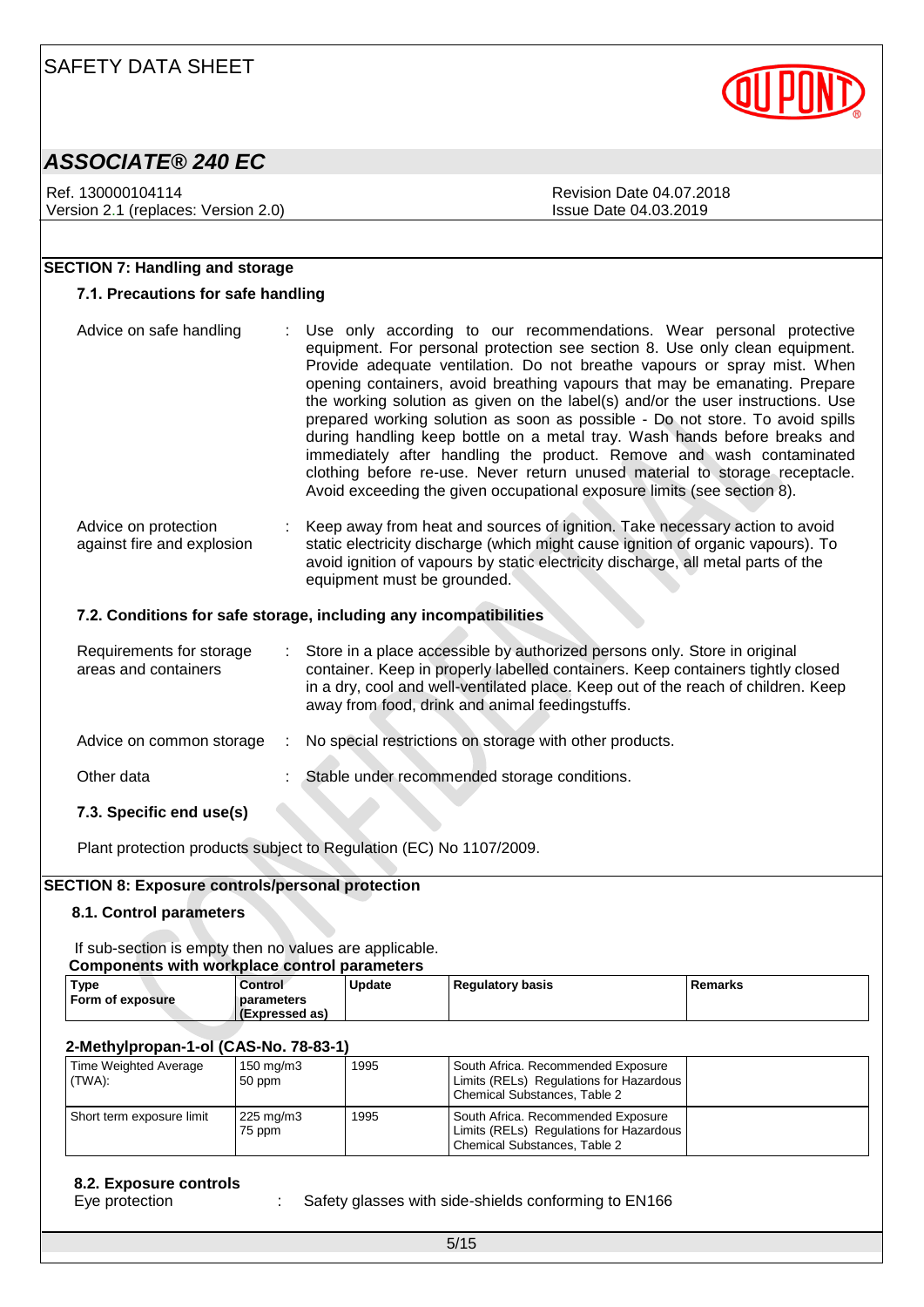

Ref. 130000104114 Ref. 130000104114 Version 2.1 (replaces: Version 2.0) Issue Date 04.03.2019

### **SECTION 7: Handling and storage**

#### **7.1. Precautions for safe handling**

| Advice on safe handling                                           | Use only according to our recommendations. Wear personal protective<br>equipment. For personal protection see section 8. Use only clean equipment.<br>Provide adequate ventilation. Do not breathe vapours or spray mist. When<br>opening containers, avoid breathing vapours that may be emanating. Prepare<br>the working solution as given on the label(s) and/or the user instructions. Use<br>prepared working solution as soon as possible - Do not store. To avoid spills<br>during handling keep bottle on a metal tray. Wash hands before breaks and<br>immediately after handling the product. Remove and wash contaminated<br>clothing before re-use. Never return unused material to storage receptacle.<br>Avoid exceeding the given occupational exposure limits (see section 8). |  |  |  |
|-------------------------------------------------------------------|-------------------------------------------------------------------------------------------------------------------------------------------------------------------------------------------------------------------------------------------------------------------------------------------------------------------------------------------------------------------------------------------------------------------------------------------------------------------------------------------------------------------------------------------------------------------------------------------------------------------------------------------------------------------------------------------------------------------------------------------------------------------------------------------------|--|--|--|
| Advice on protection<br>against fire and explosion                | Keep away from heat and sources of ignition. Take necessary action to avoid<br>static electricity discharge (which might cause ignition of organic vapours). To<br>avoid ignition of vapours by static electricity discharge, all metal parts of the<br>equipment must be grounded.                                                                                                                                                                                                                                                                                                                                                                                                                                                                                                             |  |  |  |
| 7.2. Conditions for safe storage, including any incompatibilities |                                                                                                                                                                                                                                                                                                                                                                                                                                                                                                                                                                                                                                                                                                                                                                                                 |  |  |  |

| Requirements for storage<br>areas and containers | Store in a place accessible by authorized persons only. Store in original<br>container. Keep in properly labelled containers. Keep containers tightly closed<br>in a dry, cool and well-ventilated place. Keep out of the reach of children. Keep<br>away from food, drink and animal feedingstuffs. |
|--------------------------------------------------|------------------------------------------------------------------------------------------------------------------------------------------------------------------------------------------------------------------------------------------------------------------------------------------------------|
| Advice on common storage                         | No special restrictions on storage with other products.                                                                                                                                                                                                                                              |
| Other data                                       | Stable under recommended storage conditions.                                                                                                                                                                                                                                                         |
| 7.3. Specific end use(s)                         |                                                                                                                                                                                                                                                                                                      |

Plant protection products subject to Regulation (EC) No 1107/2009.

#### **SECTION 8: Exposure controls/personal protection**

#### **8.1. Control parameters**

If sub-section is empty then no values are applicable. **Components with workplace control parameters**

| <b>COMPUTERS WILL WOLNDIGGE COMPUTER IN A REPORT</b> |                |               |                    |         |  |  |  |  |  |
|------------------------------------------------------|----------------|---------------|--------------------|---------|--|--|--|--|--|
| <b>Type</b>                                          | Control        | <b>Update</b> | l Regulatory basis | Remarks |  |  |  |  |  |
| Form of exposure                                     | parameters     |               |                    |         |  |  |  |  |  |
|                                                      | (Expressed as) |               |                    |         |  |  |  |  |  |

#### **2-Methylpropan-1-ol (CAS-No. 78-83-1)**

| Time Weighted Average<br>(TWA): | $150 \text{ mg/m}$<br>50 ppm | 1995 | South Africa. Recommended Exposure<br>Limits (RELs) Regulations for Hazardous<br>Chemical Substances, Table 2 |  |
|---------------------------------|------------------------------|------|---------------------------------------------------------------------------------------------------------------|--|
| Short term exposure limit       | 225 mg/m3<br>75 ppm          | 1995 | South Africa. Recommended Exposure<br>Limits (RELs) Regulations for Hazardous<br>Chemical Substances, Table 2 |  |

#### **8.2. Exposure controls**

Eye protection : Safety glasses with side-shields conforming to EN166

5/15

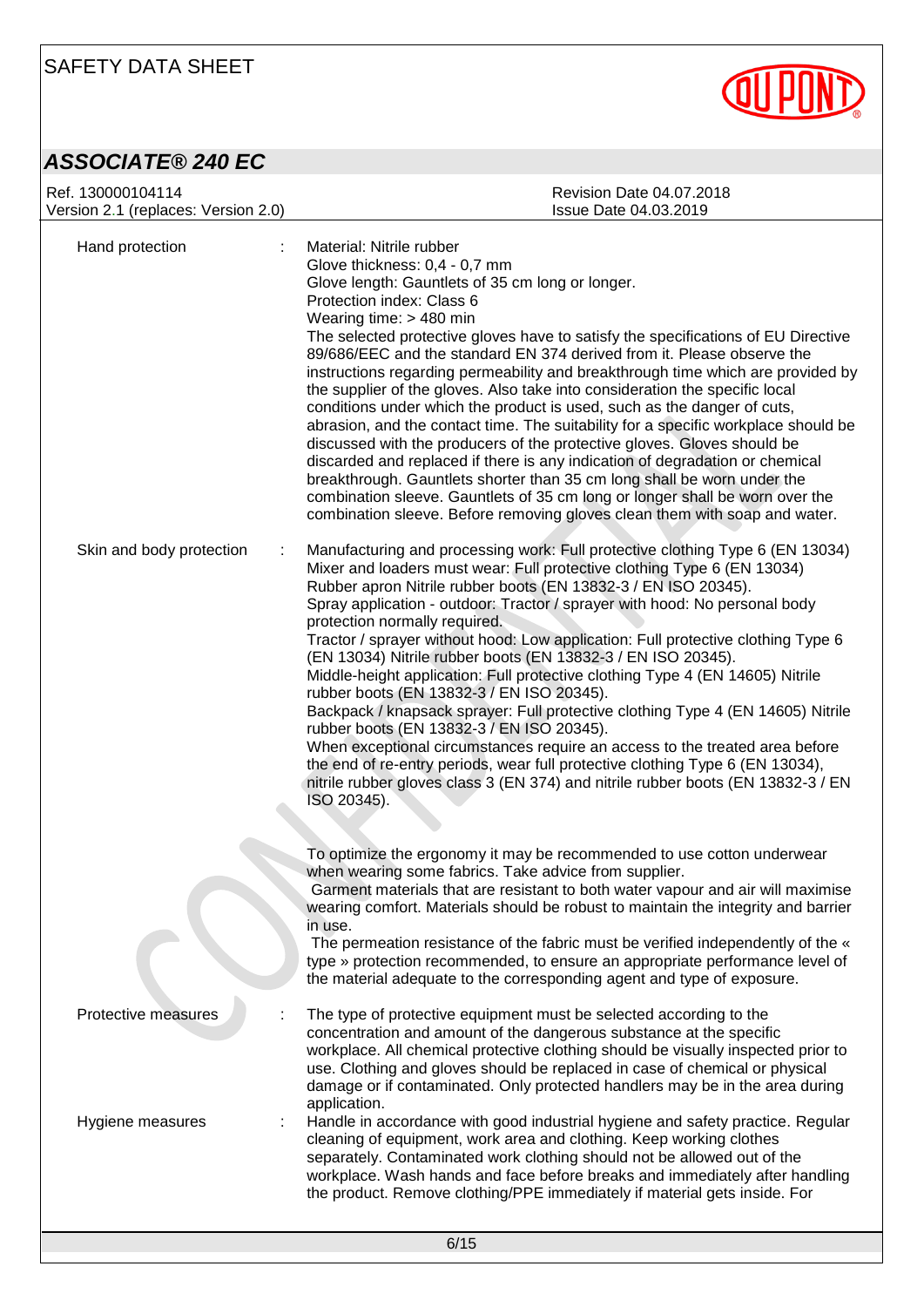



| Ref. 130000104114<br>Version 2.1 (replaces: Version 2.0) | Revision Date 04.07.2018<br>Issue Date 04.03.2019                                                                                                                                                                                                                                                                                                                                                                                                                                                                                                                                                                                                                                                                                                                                                                                                                                                                                                                                                                                                                             |
|----------------------------------------------------------|-------------------------------------------------------------------------------------------------------------------------------------------------------------------------------------------------------------------------------------------------------------------------------------------------------------------------------------------------------------------------------------------------------------------------------------------------------------------------------------------------------------------------------------------------------------------------------------------------------------------------------------------------------------------------------------------------------------------------------------------------------------------------------------------------------------------------------------------------------------------------------------------------------------------------------------------------------------------------------------------------------------------------------------------------------------------------------|
| Hand protection                                          | Material: Nitrile rubber<br>Glove thickness: 0,4 - 0,7 mm<br>Glove length: Gauntlets of 35 cm long or longer.<br>Protection index: Class 6<br>Wearing time: $> 480$ min<br>The selected protective gloves have to satisfy the specifications of EU Directive<br>89/686/EEC and the standard EN 374 derived from it. Please observe the<br>instructions regarding permeability and breakthrough time which are provided by<br>the supplier of the gloves. Also take into consideration the specific local<br>conditions under which the product is used, such as the danger of cuts,<br>abrasion, and the contact time. The suitability for a specific workplace should be<br>discussed with the producers of the protective gloves. Gloves should be<br>discarded and replaced if there is any indication of degradation or chemical<br>breakthrough. Gauntlets shorter than 35 cm long shall be worn under the<br>combination sleeve. Gauntlets of 35 cm long or longer shall be worn over the<br>combination sleeve. Before removing gloves clean them with soap and water. |
| Skin and body protection<br>÷                            | Manufacturing and processing work: Full protective clothing Type 6 (EN 13034)<br>Mixer and loaders must wear: Full protective clothing Type 6 (EN 13034)<br>Rubber apron Nitrile rubber boots (EN 13832-3 / EN ISO 20345).<br>Spray application - outdoor: Tractor / sprayer with hood: No personal body<br>protection normally required.<br>Tractor / sprayer without hood: Low application: Full protective clothing Type 6<br>(EN 13034) Nitrile rubber boots (EN 13832-3 / EN ISO 20345).<br>Middle-height application: Full protective clothing Type 4 (EN 14605) Nitrile<br>rubber boots (EN 13832-3 / EN ISO 20345).<br>Backpack / knapsack sprayer: Full protective clothing Type 4 (EN 14605) Nitrile<br>rubber boots (EN 13832-3 / EN ISO 20345).<br>When exceptional circumstances require an access to the treated area before<br>the end of re-entry periods, wear full protective clothing Type 6 (EN 13034),<br>nitrile rubber gloves class 3 (EN 374) and nitrile rubber boots (EN 13832-3 / EN<br>ISO 20345).                                                |
|                                                          | To optimize the ergonomy it may be recommended to use cotton underwear<br>when wearing some fabrics. Take advice from supplier.<br>Garment materials that are resistant to both water vapour and air will maximise<br>wearing comfort. Materials should be robust to maintain the integrity and barrier<br>in use.<br>The permeation resistance of the fabric must be verified independently of the «<br>type » protection recommended, to ensure an appropriate performance level of<br>the material adequate to the corresponding agent and type of exposure.                                                                                                                                                                                                                                                                                                                                                                                                                                                                                                               |
| Protective measures                                      | The type of protective equipment must be selected according to the<br>concentration and amount of the dangerous substance at the specific<br>workplace. All chemical protective clothing should be visually inspected prior to<br>use. Clothing and gloves should be replaced in case of chemical or physical<br>damage or if contaminated. Only protected handlers may be in the area during<br>application.                                                                                                                                                                                                                                                                                                                                                                                                                                                                                                                                                                                                                                                                 |
| Hygiene measures                                         | Handle in accordance with good industrial hygiene and safety practice. Regular<br>cleaning of equipment, work area and clothing. Keep working clothes<br>separately. Contaminated work clothing should not be allowed out of the<br>workplace. Wash hands and face before breaks and immediately after handling<br>the product. Remove clothing/PPE immediately if material gets inside. For                                                                                                                                                                                                                                                                                                                                                                                                                                                                                                                                                                                                                                                                                  |
|                                                          | C/4E                                                                                                                                                                                                                                                                                                                                                                                                                                                                                                                                                                                                                                                                                                                                                                                                                                                                                                                                                                                                                                                                          |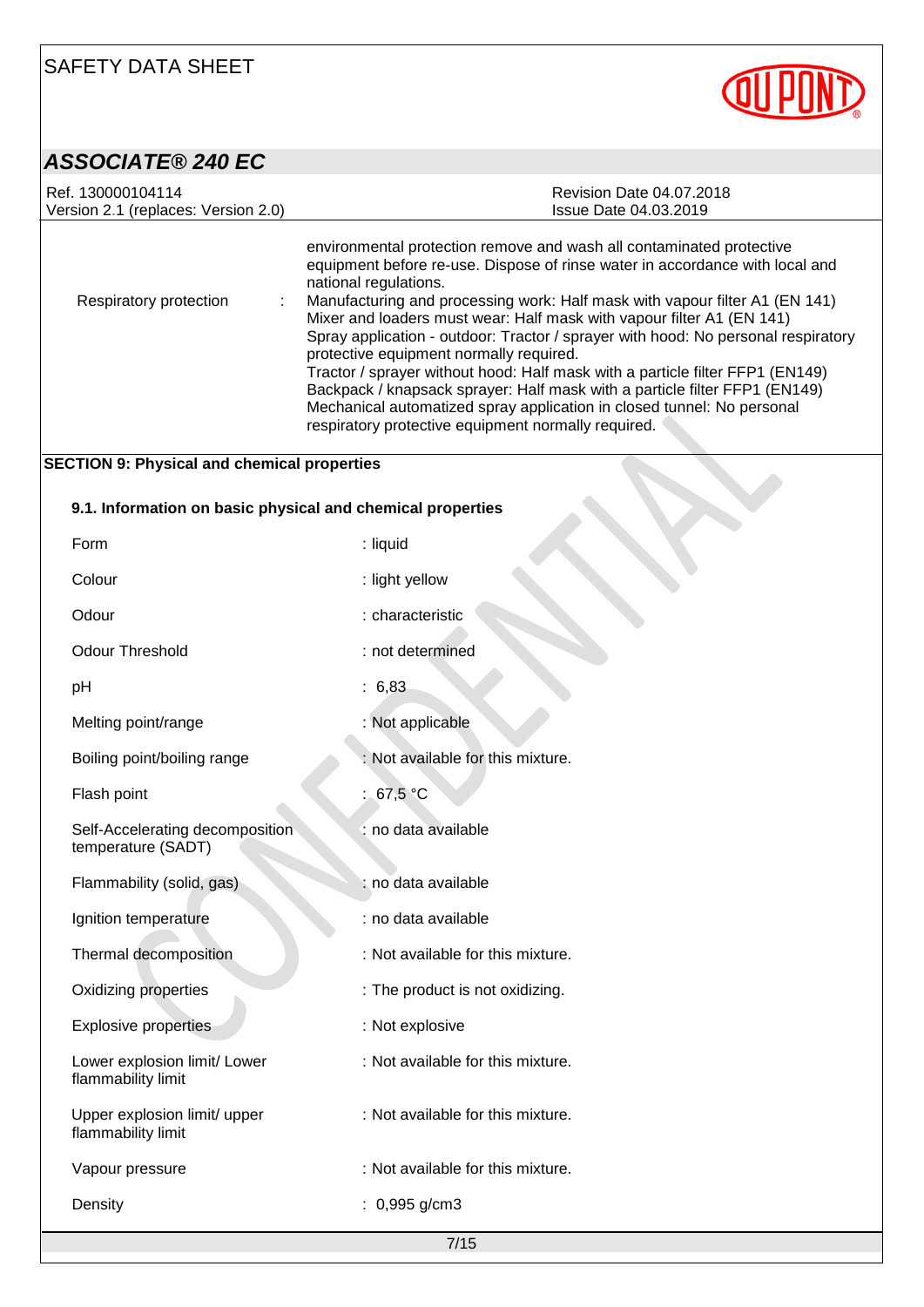

### *ASSOCIATE® 240 EC*

| Ref. 130000104114<br>Version 2.1 (replaces: Version 2.0)   | Revision Date 04.07.2018<br><b>Issue Date 04.03.2019</b>                                                                                                                                                                                                                                                                                                                                                                                                                                                                                                                                                                                                                                                                                                              |  |
|------------------------------------------------------------|-----------------------------------------------------------------------------------------------------------------------------------------------------------------------------------------------------------------------------------------------------------------------------------------------------------------------------------------------------------------------------------------------------------------------------------------------------------------------------------------------------------------------------------------------------------------------------------------------------------------------------------------------------------------------------------------------------------------------------------------------------------------------|--|
| Respiratory protection                                     | environmental protection remove and wash all contaminated protective<br>equipment before re-use. Dispose of rinse water in accordance with local and<br>national regulations.<br>Manufacturing and processing work: Half mask with vapour filter A1 (EN 141)<br>Mixer and loaders must wear: Half mask with vapour filter A1 (EN 141)<br>Spray application - outdoor: Tractor / sprayer with hood: No personal respiratory<br>protective equipment normally required.<br>Tractor / sprayer without hood: Half mask with a particle filter FFP1 (EN149)<br>Backpack / knapsack sprayer: Half mask with a particle filter FFP1 (EN149)<br>Mechanical automatized spray application in closed tunnel: No personal<br>respiratory protective equipment normally required. |  |
| <b>SECTION 9: Physical and chemical properties</b>         |                                                                                                                                                                                                                                                                                                                                                                                                                                                                                                                                                                                                                                                                                                                                                                       |  |
| 9.1. Information on basic physical and chemical properties |                                                                                                                                                                                                                                                                                                                                                                                                                                                                                                                                                                                                                                                                                                                                                                       |  |
| Form                                                       | : liquid                                                                                                                                                                                                                                                                                                                                                                                                                                                                                                                                                                                                                                                                                                                                                              |  |
| Colour                                                     | : light yellow                                                                                                                                                                                                                                                                                                                                                                                                                                                                                                                                                                                                                                                                                                                                                        |  |
| Odour                                                      | : characteristic                                                                                                                                                                                                                                                                                                                                                                                                                                                                                                                                                                                                                                                                                                                                                      |  |
| <b>Odour Threshold</b>                                     | : not determined                                                                                                                                                                                                                                                                                                                                                                                                                                                                                                                                                                                                                                                                                                                                                      |  |
| pH                                                         | : 6,83                                                                                                                                                                                                                                                                                                                                                                                                                                                                                                                                                                                                                                                                                                                                                                |  |
| Melting point/range                                        | : Not applicable                                                                                                                                                                                                                                                                                                                                                                                                                                                                                                                                                                                                                                                                                                                                                      |  |
| Boiling point/boiling range                                | : Not available for this mixture.                                                                                                                                                                                                                                                                                                                                                                                                                                                                                                                                                                                                                                                                                                                                     |  |
| Flash point                                                | : 67,5 $^{\circ}$ C                                                                                                                                                                                                                                                                                                                                                                                                                                                                                                                                                                                                                                                                                                                                                   |  |
| Self-Accelerating decomposition<br>temperature (SADT)      | : no data available                                                                                                                                                                                                                                                                                                                                                                                                                                                                                                                                                                                                                                                                                                                                                   |  |
| Flammability (solid, gas)                                  | : no data available                                                                                                                                                                                                                                                                                                                                                                                                                                                                                                                                                                                                                                                                                                                                                   |  |
| Ignition temperature                                       | : no data available                                                                                                                                                                                                                                                                                                                                                                                                                                                                                                                                                                                                                                                                                                                                                   |  |
| Thermal decomposition                                      | : Not available for this mixture.                                                                                                                                                                                                                                                                                                                                                                                                                                                                                                                                                                                                                                                                                                                                     |  |
| Oxidizing properties                                       | : The product is not oxidizing.                                                                                                                                                                                                                                                                                                                                                                                                                                                                                                                                                                                                                                                                                                                                       |  |
| <b>Explosive properties</b>                                | : Not explosive                                                                                                                                                                                                                                                                                                                                                                                                                                                                                                                                                                                                                                                                                                                                                       |  |
| Lower explosion limit/ Lower<br>flammability limit         | : Not available for this mixture.                                                                                                                                                                                                                                                                                                                                                                                                                                                                                                                                                                                                                                                                                                                                     |  |
| Upper explosion limit/ upper<br>flammability limit         | : Not available for this mixture.                                                                                                                                                                                                                                                                                                                                                                                                                                                                                                                                                                                                                                                                                                                                     |  |
| Vapour pressure                                            | : Not available for this mixture.                                                                                                                                                                                                                                                                                                                                                                                                                                                                                                                                                                                                                                                                                                                                     |  |
| Density                                                    | : $0,995$ g/cm3                                                                                                                                                                                                                                                                                                                                                                                                                                                                                                                                                                                                                                                                                                                                                       |  |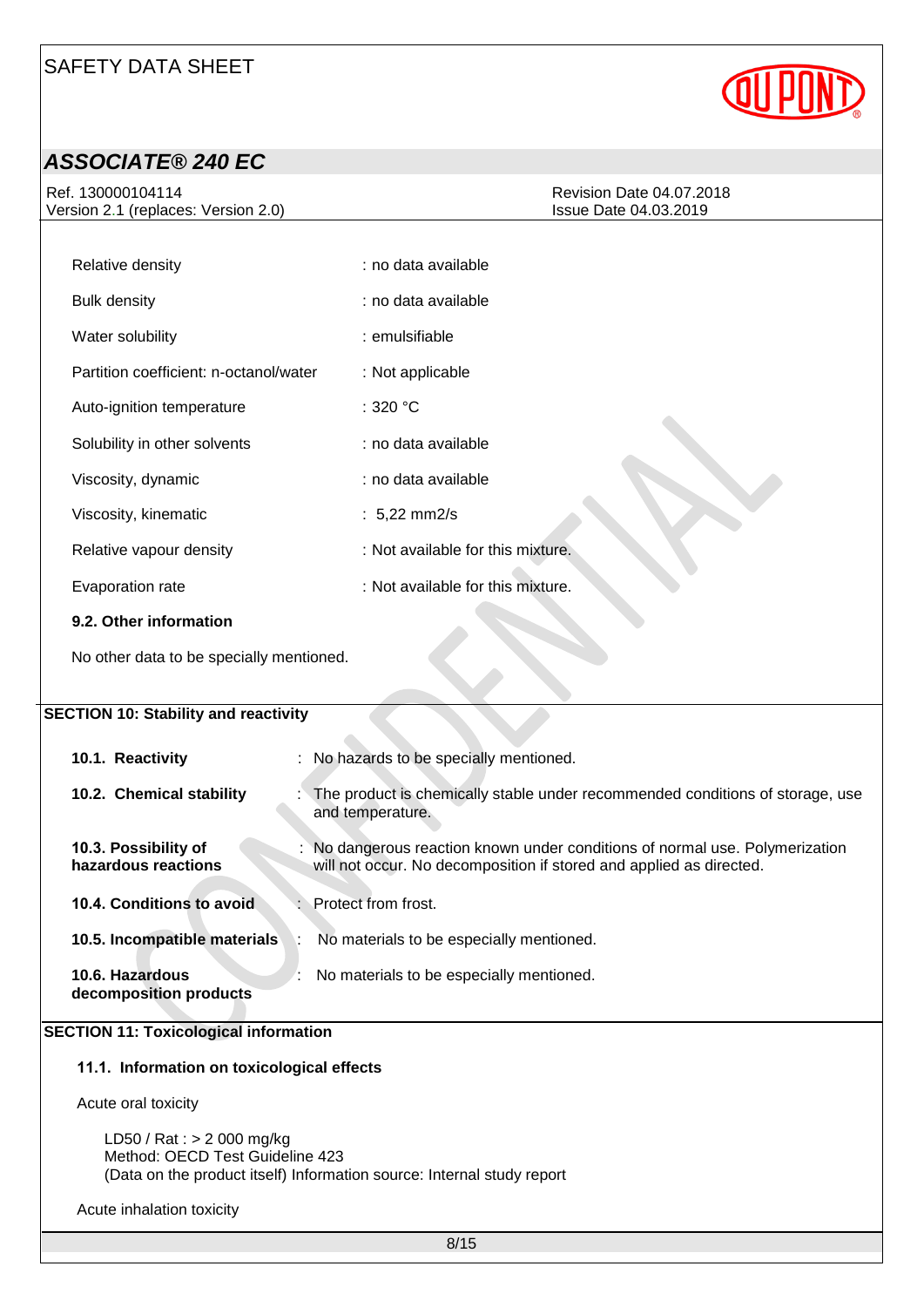

### *ASSOCIATE® 240 EC*

Ref. 130000104114 Version 2.1 (replaces: Version 2.0)

| Revision Date 04.07.2018     |  |
|------------------------------|--|
| <b>Issue Date 04.03.2019</b> |  |

| Relative density                       | : no data available               |
|----------------------------------------|-----------------------------------|
| <b>Bulk density</b>                    | : no data available               |
| Water solubility                       | : emulsifiable                    |
| Partition coefficient: n-octanol/water | : Not applicable                  |
| Auto-ignition temperature              | :320 °C                           |
| Solubility in other solvents           | : no data available               |
| Viscosity, dynamic                     | : no data available               |
| Viscosity, kinematic                   | : $5,22 \text{ mm2/s}$            |
| Relative vapour density                | : Not available for this mixture. |
| Evaporation rate                       | : Not available for this mixture. |
| 9.2. Other information                 |                                   |

No other data to be specially mentioned.

### **SECTION 10: Stability and reactivity 10.1. Reactivity** : No hazards to be specially mentioned. **10.2. Chemical stability** : The product is chemically stable under recommended conditions of storage, use and temperature. **10.3. Possibility of hazardous reactions** : No dangerous reaction known under conditions of normal use. Polymerization will not occur. No decomposition if stored and applied as directed.

# **10.4. Conditions to avoid** : Protect from frost.

| 10.5. Incompatible materials              | No materials to be especially mentioned. |
|-------------------------------------------|------------------------------------------|
| 10.6. Hazardous<br>decomposition products | No materials to be especially mentioned. |

#### **SECTION 11: Toxicological information**

#### **11.1. Information on toxicological effects**

Acute oral toxicity

LD50 / Rat : > 2 000 mg/kg Method: OECD Test Guideline 423 (Data on the product itself) Information source: Internal study report

Acute inhalation toxicity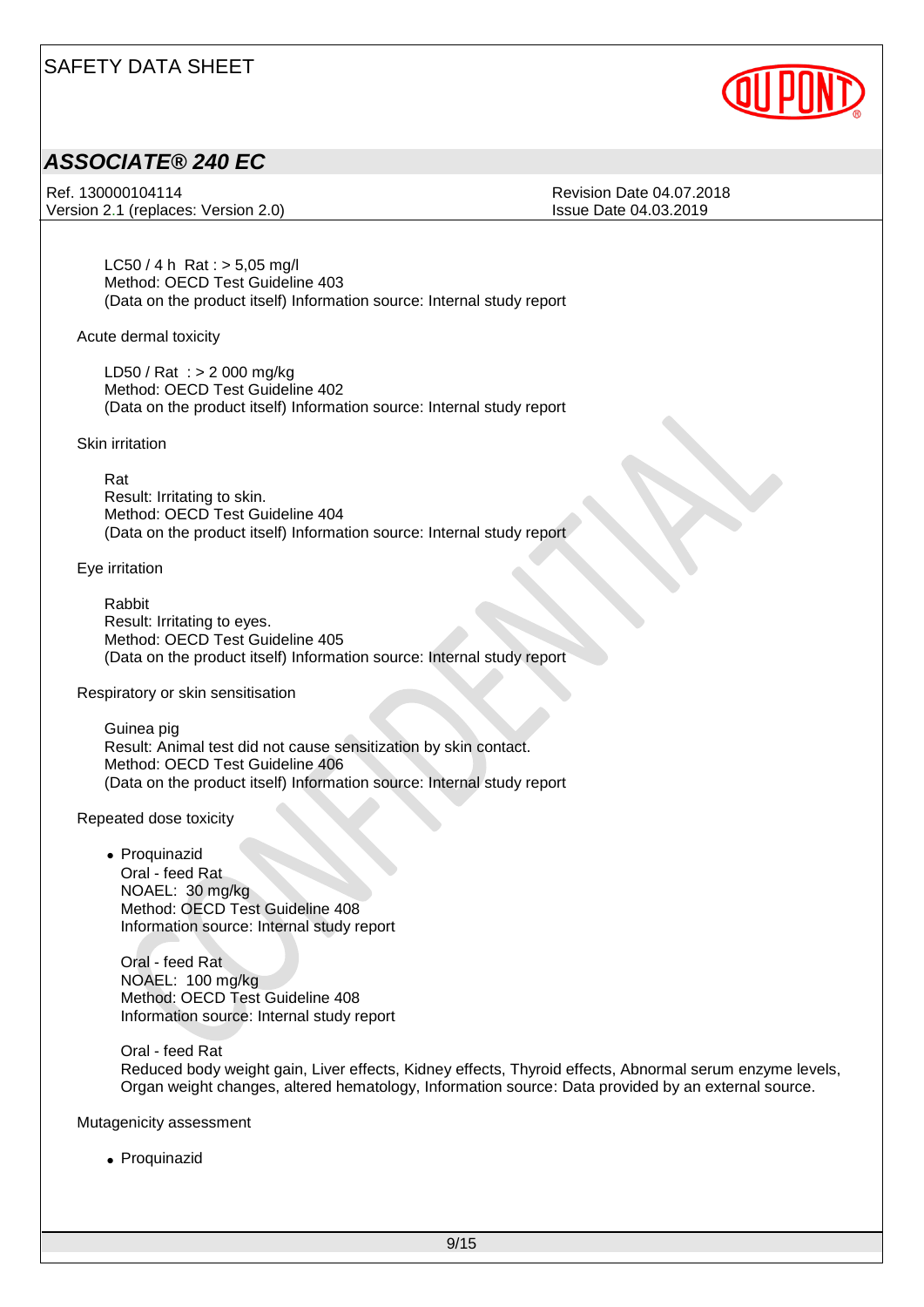

### *ASSOCIATE® 240 EC*

Ref. 130000104114 **Ref. 130000104114** Version 2.1 (replaces: Version 2.0) Issue Date 04.03.2019

 $LC50 / 4 h$  Rat :  $> 5,05$  mg/l Method: OECD Test Guideline 403 (Data on the product itself) Information source: Internal study report

Acute dermal toxicity

LD50 / Rat : > 2 000 mg/kg Method: OECD Test Guideline 402 (Data on the product itself) Information source: Internal study report

Skin irritation

Rat Result: Irritating to skin. Method: OECD Test Guideline 404 (Data on the product itself) Information source: Internal study report

Eye irritation

Rabbit Result: Irritating to eyes. Method: OECD Test Guideline 405 (Data on the product itself) Information source: Internal study report

Respiratory or skin sensitisation

Guinea pig Result: Animal test did not cause sensitization by skin contact. Method: OECD Test Guideline 406 (Data on the product itself) Information source: Internal study report

Repeated dose toxicity

• Proquinazid Oral - feed Rat NOAEL: 30 mg/kg Method: OECD Test Guideline 408 Information source: Internal study report

Oral - feed Rat NOAEL: 100 mg/kg Method: OECD Test Guideline 408 Information source: Internal study report

Oral - feed Rat Reduced body weight gain, Liver effects, Kidney effects, Thyroid effects, Abnormal serum enzyme levels, Organ weight changes, altered hematology, Information source: Data provided by an external source.

Mutagenicity assessment

• Proquinazid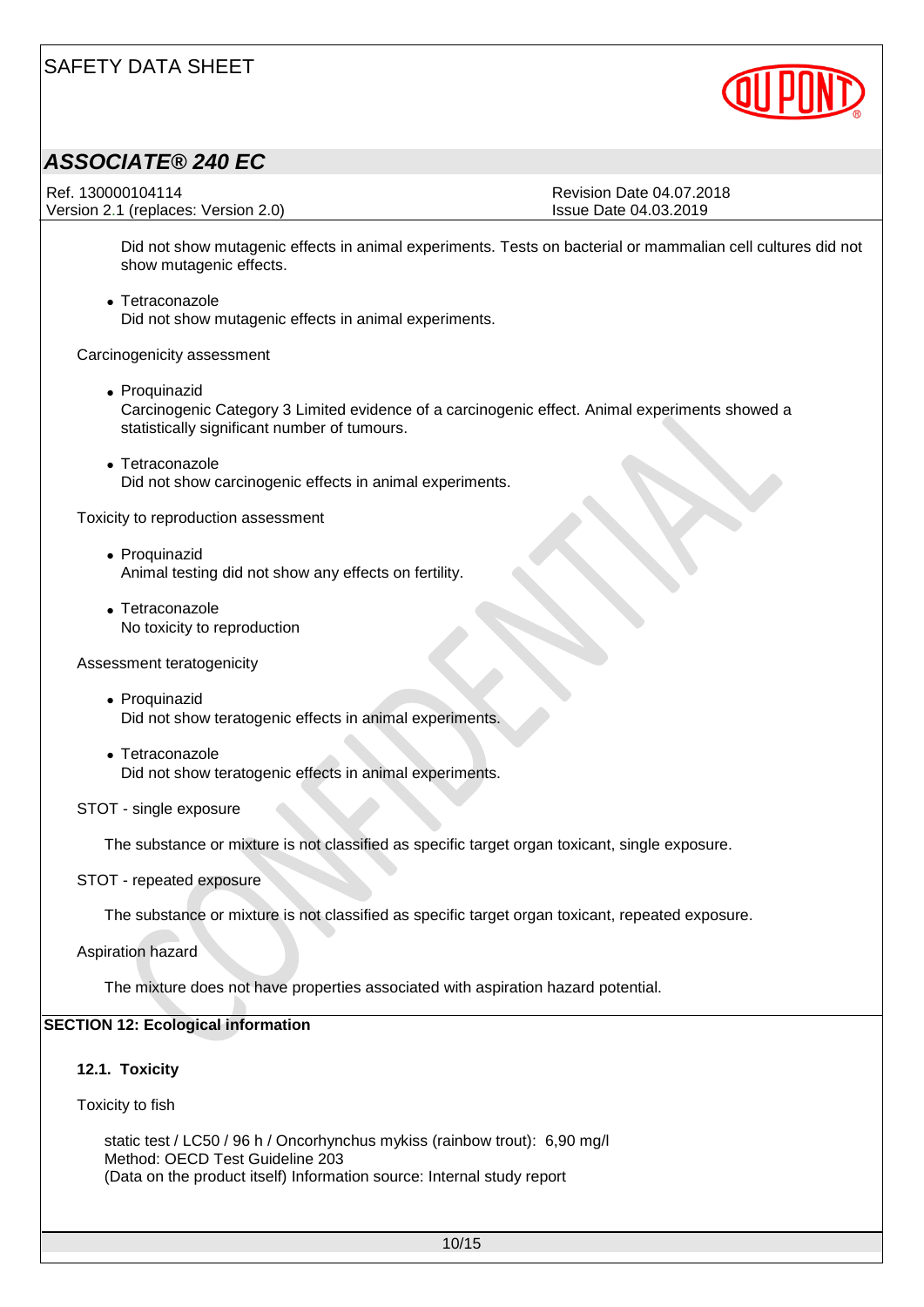

### *ASSOCIATE® 240 EC*

Ref. 130000104114 **Ref. 130000104114** Version 2.1 (replaces: Version 2.0) Issue Date 04.03.2019

Did not show mutagenic effects in animal experiments. Tests on bacterial or mammalian cell cultures did not show mutagenic effects.

• Tetraconazole Did not show mutagenic effects in animal experiments.

Carcinogenicity assessment

- Proquinazid Carcinogenic Category 3 Limited evidence of a carcinogenic effect. Animal experiments showed a statistically significant number of tumours.
- Tetraconazole Did not show carcinogenic effects in animal experiments.

Toxicity to reproduction assessment

- Proquinazid Animal testing did not show any effects on fertility.
- Tetraconazole No toxicity to reproduction

Assessment teratogenicity

- Proquinazid Did not show teratogenic effects in animal experiments.
- Tetraconazole Did not show teratogenic effects in animal experiments.
- STOT single exposure

The substance or mixture is not classified as specific target organ toxicant, single exposure.

STOT - repeated exposure

The substance or mixture is not classified as specific target organ toxicant, repeated exposure.

Aspiration hazard

The mixture does not have properties associated with aspiration hazard potential.

#### **SECTION 12: Ecological information**

#### **12.1. Toxicity**

Toxicity to fish

static test / LC50 / 96 h / Oncorhynchus mykiss (rainbow trout): 6,90 mg/l Method: OECD Test Guideline 203 (Data on the product itself) Information source: Internal study report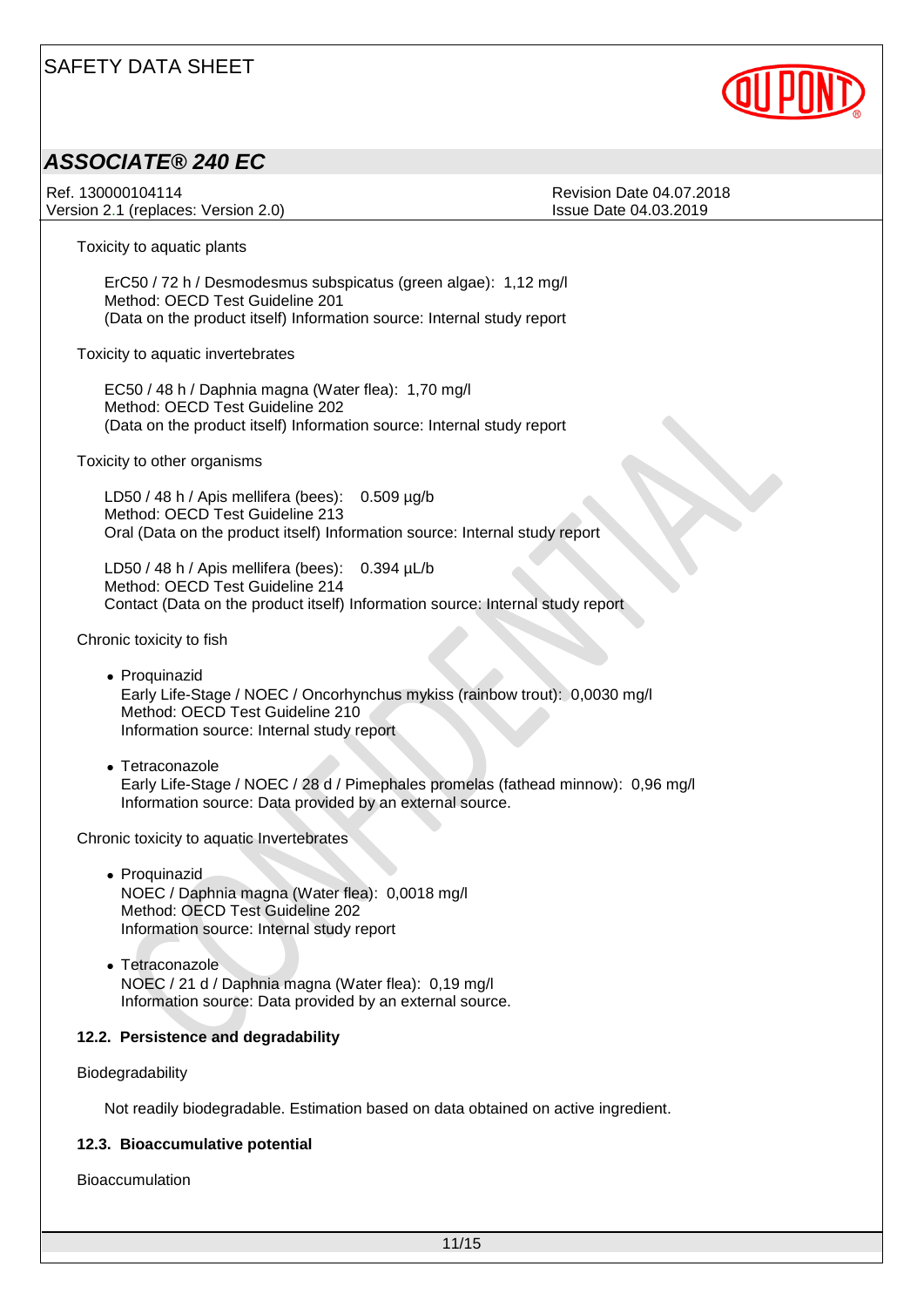

### *ASSOCIATE® 240 EC*

Ref. 130000104114 **Ref. 130000104114** Version 2.1 (replaces: Version 2.0) Issue Date 04.03.2019

Toxicity to aquatic plants

ErC50 / 72 h / Desmodesmus subspicatus (green algae): 1,12 mg/l Method: OECD Test Guideline 201 (Data on the product itself) Information source: Internal study report

Toxicity to aquatic invertebrates

EC50 / 48 h / Daphnia magna (Water flea): 1,70 mg/l Method: OECD Test Guideline 202 (Data on the product itself) Information source: Internal study report

Toxicity to other organisms

LD50 / 48 h / Apis mellifera (bees): 0.509 µg/b Method: OECD Test Guideline 213 Oral (Data on the product itself) Information source: Internal study report

LD50 / 48 h / Apis mellifera (bees): 0.394 µL/b Method: OECD Test Guideline 214 Contact (Data on the product itself) Information source: Internal study report

Chronic toxicity to fish

- Proquinazid Early Life-Stage / NOEC / Oncorhynchus mykiss (rainbow trout): 0,0030 mg/l Method: OECD Test Guideline 210 Information source: Internal study report
- Tetraconazole Early Life-Stage / NOEC / 28 d / Pimephales promelas (fathead minnow): 0,96 mg/l Information source: Data provided by an external source.

Chronic toxicity to aquatic Invertebrates

- Proquinazid NOEC / Daphnia magna (Water flea): 0,0018 mg/l Method: OECD Test Guideline 202 Information source: Internal study report
- Tetraconazole NOEC / 21 d / Daphnia magna (Water flea): 0,19 mg/l Information source: Data provided by an external source.

#### **12.2. Persistence and degradability**

Biodegradability

Not readily biodegradable. Estimation based on data obtained on active ingredient.

#### **12.3. Bioaccumulative potential**

Bioaccumulation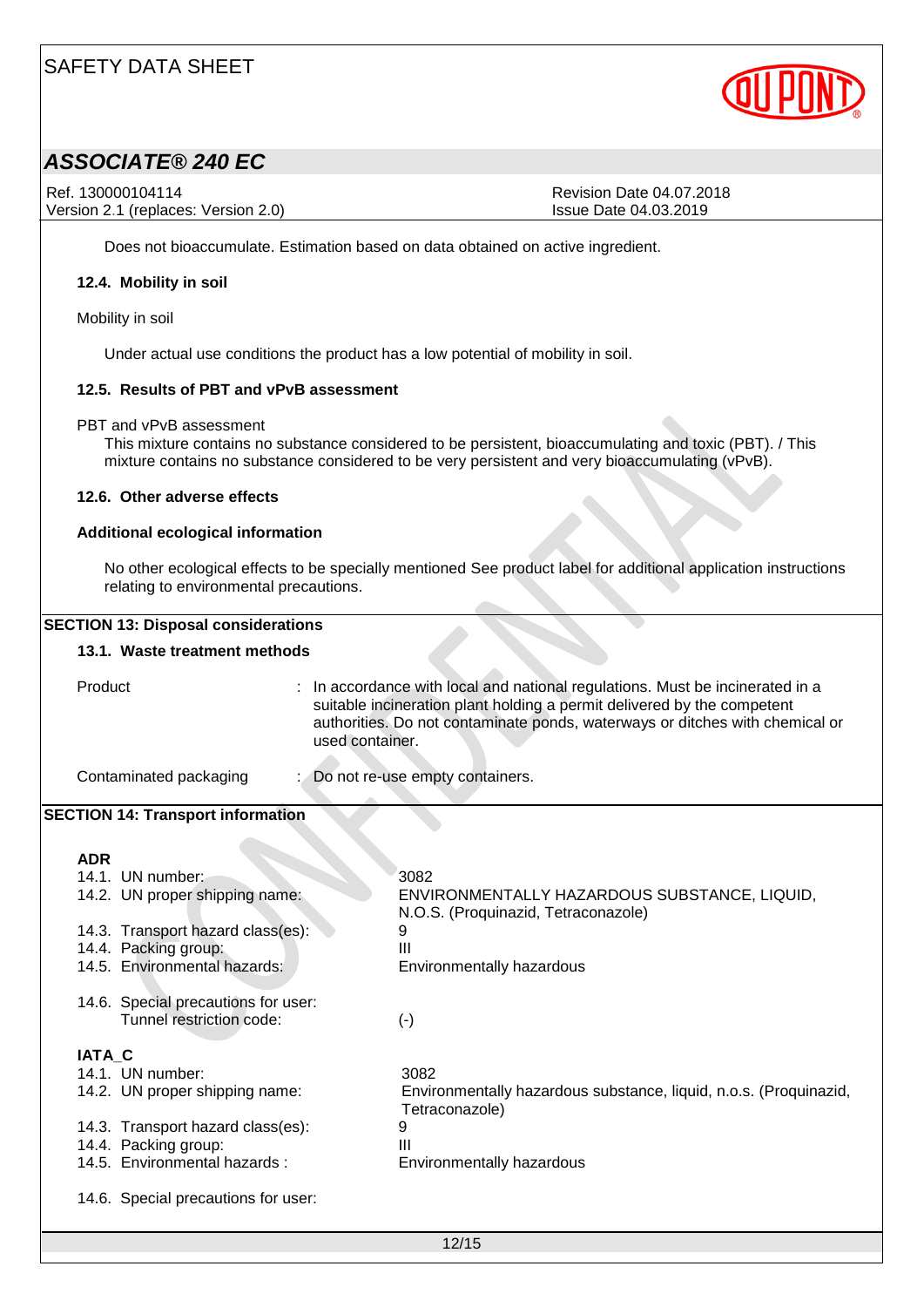

### *ASSOCIATE® 240 EC*

Ref. 130000104114 Revision Date 04.07.2018 Version 2.1 (replaces: Version 2.0) Issue Date 04.03.2019

Does not bioaccumulate. Estimation based on data obtained on active ingredient.

#### **12.4. Mobility in soil**

Mobility in soil

Under actual use conditions the product has a low potential of mobility in soil.

#### **12.5. Results of PBT and vPvB assessment**

PBT and vPvB assessment

This mixture contains no substance considered to be persistent, bioaccumulating and toxic (PBT). / This mixture contains no substance considered to be very persistent and very bioaccumulating (vPvB).

#### **12.6. Other adverse effects**

#### **Additional ecological information**

No other ecological effects to be specially mentioned See product label for additional application instructions relating to environmental precautions.

| Product       |                                          | used container. | : In accordance with local and national regulations. Must be incinerated in a<br>suitable incineration plant holding a permit delivered by the competent<br>authorities. Do not contaminate ponds, waterways or ditches with chemical or |
|---------------|------------------------------------------|-----------------|------------------------------------------------------------------------------------------------------------------------------------------------------------------------------------------------------------------------------------------|
|               | Contaminated packaging                   |                 | Do not re-use empty containers.                                                                                                                                                                                                          |
|               | <b>SECTION 14: Transport information</b> |                 |                                                                                                                                                                                                                                          |
| <b>ADR</b>    |                                          |                 |                                                                                                                                                                                                                                          |
|               | 14.1. UN number:                         |                 | 3082                                                                                                                                                                                                                                     |
|               | 14.2. UN proper shipping name:           |                 | ENVIRONMENTALLY HAZARDOUS SUBSTANCE, LIQUID,<br>N.O.S. (Proquinazid, Tetraconazole)                                                                                                                                                      |
|               | 14.3. Transport hazard class(es):        |                 | 9                                                                                                                                                                                                                                        |
|               | 14.4. Packing group:                     |                 | III                                                                                                                                                                                                                                      |
|               | 14.5. Environmental hazards:             |                 | Environmentally hazardous                                                                                                                                                                                                                |
|               | 14.6. Special precautions for user:      |                 |                                                                                                                                                                                                                                          |
|               | Tunnel restriction code:                 |                 | $(-)$                                                                                                                                                                                                                                    |
| <b>IATA C</b> |                                          |                 |                                                                                                                                                                                                                                          |
|               | 14.1. UN number:                         |                 | 3082                                                                                                                                                                                                                                     |
|               | 14.2. UN proper shipping name:           |                 | Environmentally hazardous substance, liquid, n.o.s. (Proquinazid,<br>Tetraconazole)                                                                                                                                                      |
|               | 14.3. Transport hazard class(es):        |                 | 9                                                                                                                                                                                                                                        |
|               | 14.4. Packing group:                     |                 | Ш                                                                                                                                                                                                                                        |
|               | 14.5. Environmental hazards:             |                 | Environmentally hazardous                                                                                                                                                                                                                |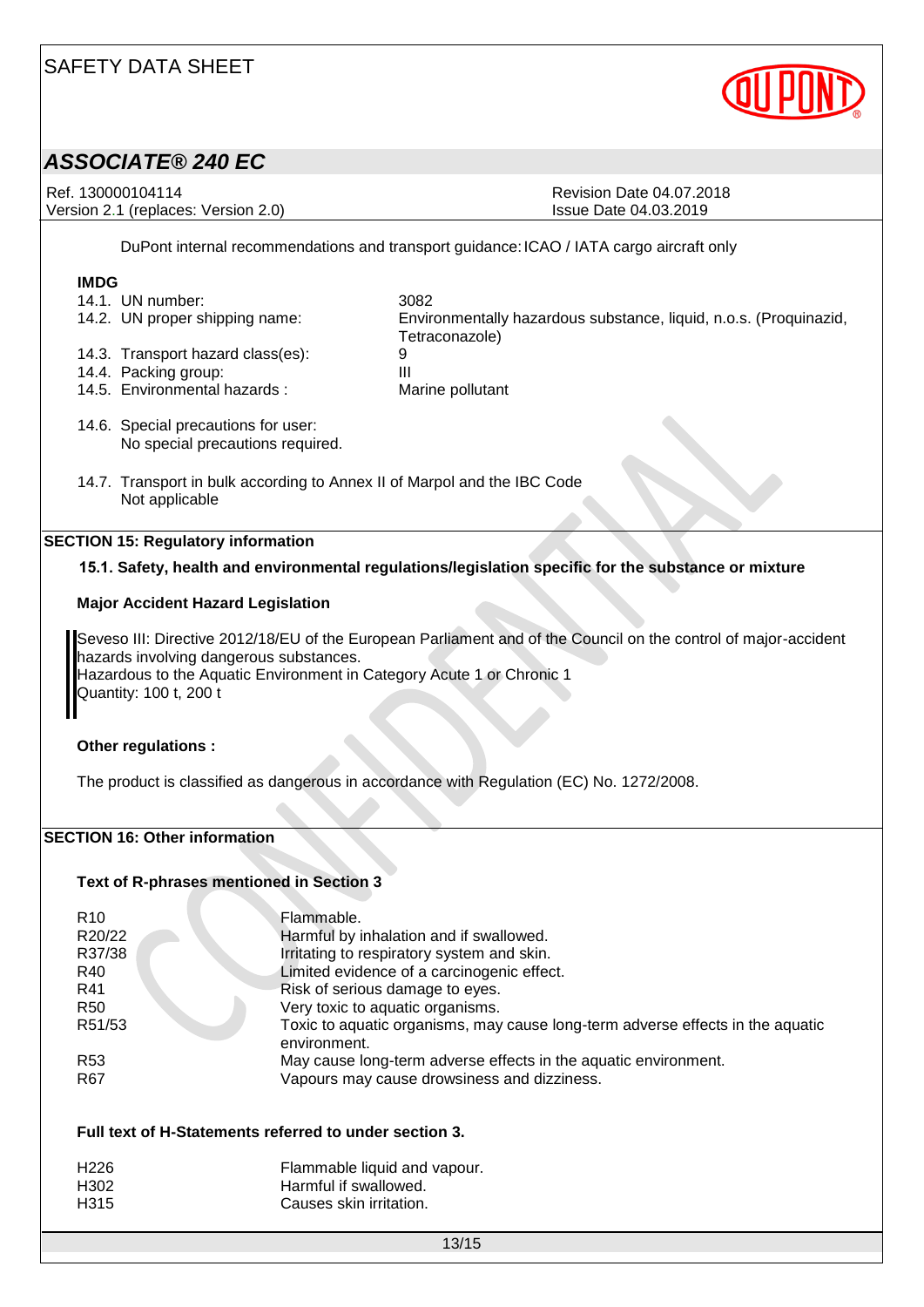

### *ASSOCIATE® 240 EC*

Ref. 130000104114 **Ref. 130000104114** Revision Date 04.07.2018 Version 2.1 (replaces: Version 2.0) Issue Date 04.03.2019

DuPont internal recommendations and transport guidance:ICAO / IATA cargo aircraft only

# **IMDG**

| 14.1. UN number:              | 3082  |
|-------------------------------|-------|
| 14.2 HN proper shipping name: | Envir |

14.3. Transport hazard class(es): 9<br>14.4 Packing group: 9

- 
- 14.4. Packing group:<br>14.5. Environmental hazards: Marine pollutant 14.5. Environmental hazards :

14.2. UN proper shipping name: Environmentally hazardous substance, liquid, n.o.s. (Proquinazid, Tetraconazole)

- 14.6. Special precautions for user: No special precautions required.
- 14.7. Transport in bulk according to Annex II of Marpol and the IBC Code Not applicable

#### **SECTION 15: Regulatory information**

#### **15.1. Safety, health and environmental regulations/legislation specific for the substance or mixture**

#### **Major Accident Hazard Legislation**

Seveso III: Directive 2012/18/EU of the European Parliament and of the Council on the control of major-accident hazards involving dangerous substances. Hazardous to the Aquatic Environment in Category Acute 1 or Chronic 1 Quantity: 100 t, 200 t

#### **Other regulations :**

The product is classified as dangerous in accordance with Regulation (EC) No. 1272/2008.

#### **SECTION 16: Other information**

#### **Text of R-phrases mentioned in Section 3**

| R <sub>10</sub> | Flammable.                                                                                     |
|-----------------|------------------------------------------------------------------------------------------------|
| R20/22          | Harmful by inhalation and if swallowed.                                                        |
| R37/38          | Irritating to respiratory system and skin.                                                     |
| R40             | Limited evidence of a carcinogenic effect.                                                     |
| R41             | Risk of serious damage to eyes.                                                                |
| <b>R50</b>      | Very toxic to aquatic organisms.                                                               |
| R51/53          | Toxic to aquatic organisms, may cause long-term adverse effects in the aquatic<br>environment. |
| R <sub>53</sub> | May cause long-term adverse effects in the aquatic environment.                                |
| R <sub>67</sub> | Vapours may cause drowsiness and dizziness.                                                    |

#### **Full text of H-Statements referred to under section 3.**

| H226 | Flammable liquid and vapour. |
|------|------------------------------|
| H302 | Harmful if swallowed.        |
| H315 | Causes skin irritation.      |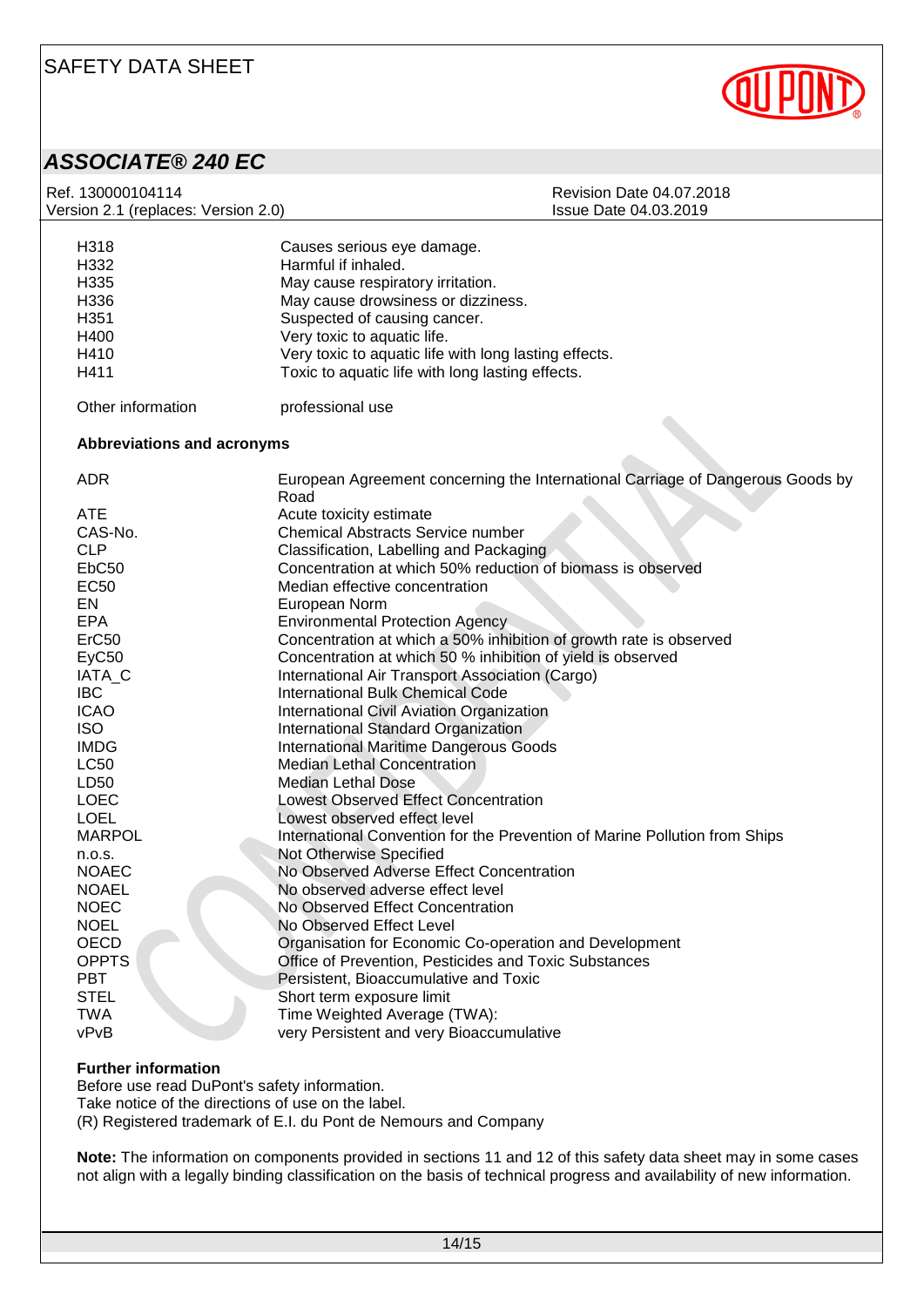

*ASSOCIATE® 240 EC*

| Ref. 130000104114                   | <b>Revision Date 04.07.2018</b>                                                        |
|-------------------------------------|----------------------------------------------------------------------------------------|
| Version 2.1 (replaces: Version 2.0) | Issue Date 04.03.2019                                                                  |
|                                     |                                                                                        |
| H318                                | Causes serious eye damage.                                                             |
| H332                                | Harmful if inhaled.                                                                    |
| H335                                | May cause respiratory irritation.                                                      |
| H336                                | May cause drowsiness or dizziness.                                                     |
| H351                                | Suspected of causing cancer.                                                           |
| H400                                | Very toxic to aquatic life.                                                            |
| H410                                | Very toxic to aquatic life with long lasting effects.                                  |
| H411                                | Toxic to aquatic life with long lasting effects.                                       |
| Other information                   | professional use                                                                       |
| Abbreviations and acronyms          |                                                                                        |
|                                     |                                                                                        |
| <b>ADR</b>                          | European Agreement concerning the International Carriage of Dangerous Goods by<br>Road |
| <b>ATE</b>                          | Acute toxicity estimate                                                                |
| CAS-No.                             | Chemical Abstracts Service number                                                      |
| <b>CLP</b>                          | Classification, Labelling and Packaging                                                |
| EbC <sub>50</sub>                   | Concentration at which 50% reduction of biomass is observed                            |
| <b>EC50</b>                         | Median effective concentration                                                         |
| EN                                  | European Norm                                                                          |
| <b>EPA</b>                          | <b>Environmental Protection Agency</b>                                                 |
| ErC <sub>50</sub>                   | Concentration at which a 50% inhibition of growth rate is observed                     |
| EyC50                               | Concentration at which 50 % inhibition of yield is observed                            |
| IATA_C                              | International Air Transport Association (Cargo)                                        |
| <b>IBC</b>                          | <b>International Bulk Chemical Code</b>                                                |
| <b>ICAO</b>                         | International Civil Aviation Organization                                              |
| <b>ISO</b>                          | International Standard Organization                                                    |
| <b>IMDG</b>                         | <b>International Maritime Dangerous Goods</b>                                          |
| <b>LC50</b>                         | <b>Median Lethal Concentration</b>                                                     |
| LD50                                | <b>Median Lethal Dose</b>                                                              |
| <b>LOEC</b>                         | <b>Lowest Observed Effect Concentration</b>                                            |
| <b>LOEL</b>                         | Lowest observed effect level                                                           |
| <b>MARPOL</b>                       | International Convention for the Prevention of Marine Pollution from Ships             |
| n.o.s.                              | Not Otherwise Specified                                                                |
| <b>NOAEC</b>                        | No Observed Adverse Effect Concentration                                               |
| <b>NOAEL</b>                        | No observed adverse effect level                                                       |
| <b>NOEC</b>                         | No Observed Effect Concentration                                                       |
| <b>NOEL</b>                         | No Observed Effect Level                                                               |
| <b>OECD</b>                         | Organisation for Economic Co-operation and Development                                 |
| <b>OPPTS</b>                        | Office of Prevention, Pesticides and Toxic Substances                                  |
| <b>PBT</b>                          | Persistent, Bioaccumulative and Toxic                                                  |
| <b>STEL</b>                         | Short term exposure limit                                                              |
| <b>TWA</b>                          | Time Weighted Average (TWA):                                                           |
| vPvB                                | very Persistent and very Bioaccumulative                                               |
|                                     |                                                                                        |

#### **Further information**

Before use read DuPont's safety information.

Take notice of the directions of use on the label.

(R) Registered trademark of E.I. du Pont de Nemours and Company

**Note:** The information on components provided in sections 11 and 12 of this safety data sheet may in some cases not align with a legally binding classification on the basis of technical progress and availability of new information.